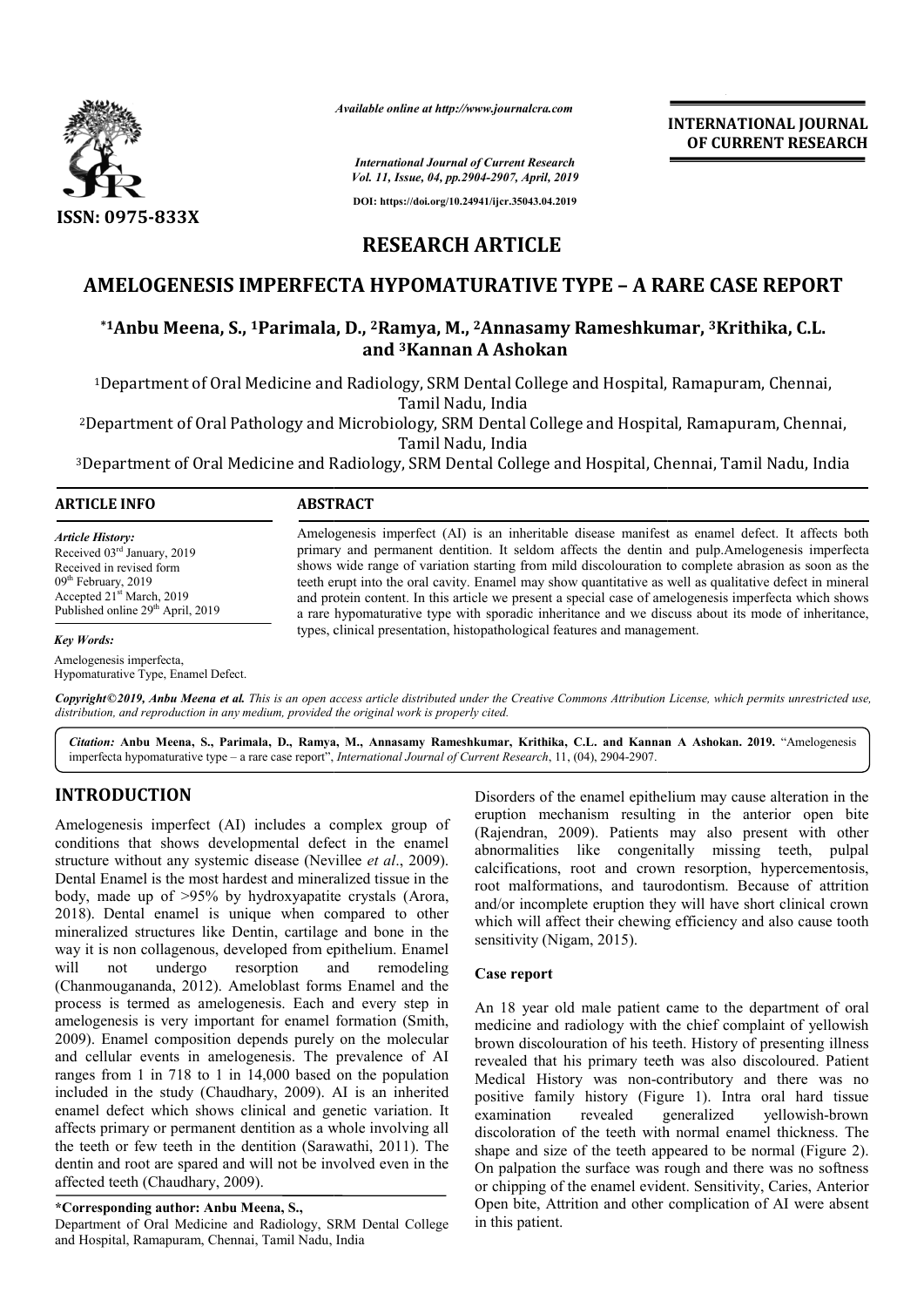

*Available online at http://www.journalcra.com*

**INTERNATIONAL JOURNAL OF CURRENT RESEARCH**

*International Journal of Current Research Vol. 11, Issue, 04, pp.2904-2907, April, 2019*

**DOI: https://doi.org/10.24941/ijcr.35043.04.2019**

# **RESEARCH ARTICLE**

# **AMELOGENESIS IMPERFECTA HYPOMATURATIVE TYPE – A RARE CASE REPORT**

### **\*1Anbu Meena, S., 1Parimala Parimala, D., 2Ramya, M., 2Annasamy Rameshkumar Rameshkumar, 3Krithika, C.L. and 3Kannan A Ashokan**

<sup>1</sup>Department of Oral Medicine and Radiology, SRM Dental College and Hospital, Ramapuram, Chennai,<br>Tamil Nadu, India

<sup>2</sup>Department of Oral Pathology and Microbiology, SRM Dental College and Hospital, Ramapuram, Chennai,<br>Tamil Nadu, India<br>Department of Oral Medicine and Radiology, SRM Dental College and Hospital, Chennai, Tamil Nadu, Indi

3Department of Oral Medicine and Radiology, SRM Dental College and Hospital, Chennai, Tamil Nadu, India Department

#### **ARTICLE INFO ABSTRACT**

*Key Words:*

*Article History:* Received 03rd January, 2019 Received in revised form 09<sup>th</sup> February, 2019 Accepted 21st March, 2019 Published online 29<sup>th</sup> April, 2019

Amelogenesis imperfect (AI) is an inheritable disease manifest as enamel defect. It affects both Amelogenesis imperfect (AI) is an inheritable disease manifest as enamel defect. It affects both primary and permanent dentition. It seldom affects the dentin and pulp.Amelogenesis imperfecta shows wide range of variation starting from mild discolouration to complete abrasion as soon as the teeth erupt into the oral cavity. Enamel may show quantitative as well as qualitative defect in mineral and protein content. In this article we present a special case of amelogenesis imperfecta which shows a rare hypomaturative type with sporadic inheritance and we discuss about its mode of inheritance, types, clinical presentation, histopathological features and management. shows wide range of variation starting from mild discolouration to complete abrasion as soon as the teeth erupt into the oral cavity. Enamel may show quantitative as well as qualitative defect in mineral and protein conten

Hypomaturative Type, Enamel Defect.

Copyright©2019, Anbu Meena et al. This is an open access article distributed under the Creative Commons Attribution License, which permits unrestricted use, *distribution, and reproduction in any medium, provided the original work is properly cited.*

*Citation:* **Anbu Meena, S., Parimala, D., Ramya, M., Annasamy Rameshkumar, Krithika, C.L. and Kannan A Ashokan A Ashokan. 2019.** "Amelogenesis imperfecta hypomaturative type – a rare case report", , *International Journal of Current Research*, 11, (04), 2904-2907.

## **INTRODUCTION**

Amelogenesis imperfecta,

Amelogenesis imperfect (AI) includes a complex group of conditions that shows developmental defect in the enamel structure without any systemic disease (Nevillee *et al.*, 2009). Dental Enamel is the most hardest and mineralized tissue in the body, made up of >95% by hydroxyapatite crystals (Arora, 2018). Dental enamel is unique when compared to other mineralized structures like Dentin, cartilage and bone in the way it is non collagenous, developed from epithelium. Enamel will not undergo resorption and (Chanmougananda, 2012). Ameloblast forms Enamel and the process is termed as amelogenesis. Each and every step in amelogenesis is very important for enamel formation (Smith, 2009). Enamel composition depends purely on the molecular and cellular events in amelogenesis. The prevalence of AI ranges from 1 in 718 to 1 in 14,000 based on the population included in the study (Chaudhary, 2009). AI is an inherited enamel defect which shows clinical and genetic variation. It affects primary or permanent dentition as a whole involving all the teeth or few teeth in the dentition (Sarawathi,  $2011$ ). The dentin and root are spared and will not be involved even in the affected teeth (Chaudhary, 2009). remodeling

#### **\*Corresponding author: Anbu Meena, S.,**

Department of Oral Medicine and Radiology, SRM Dental College and Hospital, Ramapuram, Chennai, Tamil Nadu, India

Disorders of the enamel epithelium may cause alteration in the eruption mechanism resulting in the anterior open bite (Rajendran, 2009). Patients may also present with other abnormalities like congenitally missing teeth, pulpal calcifications, root and crown resorption, hypercementosis, root malformations, and taurodontism. Because of attrition and/or incomplete eruption they will have short clinical crown which will affect their chewing efficiency and also cause tooth sensitivity (Nigam, 2015). Disorders of the enamel epithelium may cause alteration in the eruption mechanism resulting in the anterior open bite (Rajendran, 2009). Patients may also present with other abnormalities like congenitally missing teeth, p

#### **Case report**

An 18 year old male patient came to the department of oral medicine and radiology with the chief complaint of yellowish brown discolouration of his teeth. History of presenting illness revealed that his primary teeth was also Medical History was non-contributory and there was no positive family history (Figure 1). Intra oral hard tissue examination revealed generalized vellowish-brown discoloration of the teeth with normal enamel thickness. The shape and size of the teeth appeared to be normal (Figure 2). On palpation the surface was rough and there was no softness or chipping of the enamel evident. Sensitivity, Caries, Anterior Open bite, Attrition and other complication of AI in this patient. on-contributory and there was no<br>(Figure 1). Intra oral hard tissue<br>generalized yellowish-brown on the surface was rough and there was no softness<br>of the enamel evident. Sensitivity, Caries, Anterior<br>Attrition and other complication of AI were absent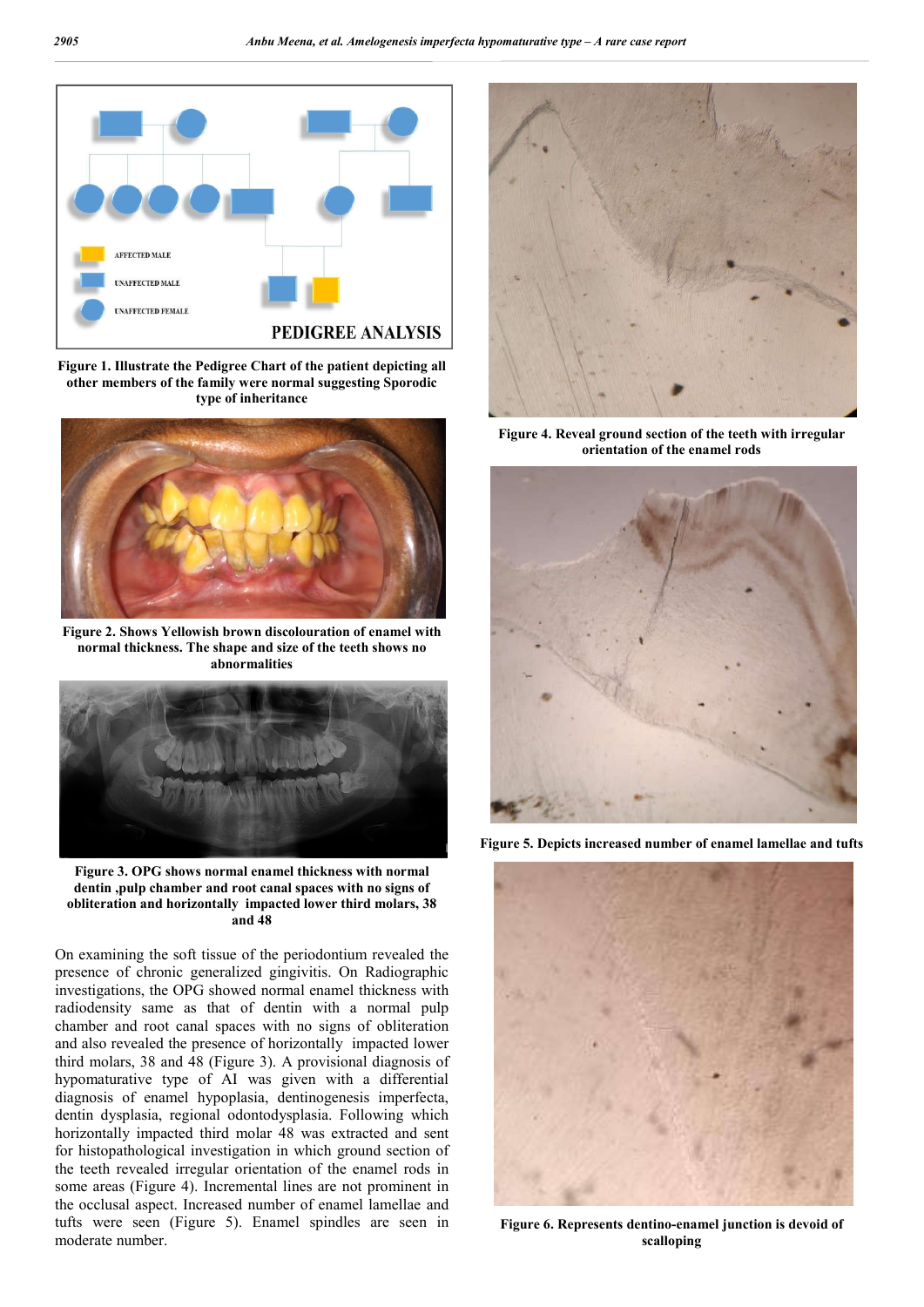

**Figure 1. Illustrate the Pedigree Chart of the patient depicting all other members of the family were normal suggesting Sporodic type of inheritance**



**Figure 2. Shows Yellowish brown discolouration of enamel with normal thickness. The shape and size of the teeth shows no abnormalities**



**Figure 3. OPG shows normal enamel thickness with normal dentin ,pulp chamber and root canal spaces with no signs of obliteration and horizontally impacted lower third molars, 38 and 48**

On examining the soft tissue of the periodontium revealed the presence of chronic generalized gingivitis. On Radiographic investigations, the OPG showed normal enamel thickness with radiodensity same as that of dentin with a normal pulp chamber and root canal spaces with no signs of obliteration and also revealed the presence of horizontally impacted lower third molars, 38 and 48 (Figure 3). A provisional diagnosis of hypomaturative type of AI was given with a differential diagnosis of enamel hypoplasia, dentinogenesis imperfecta, dentin dysplasia, regional odontodysplasia. Following which horizontally impacted third molar 48 was extracted and sent for histopathological investigation in which ground section of the teeth revealed irregular orientation of the enamel rods in some areas (Figure 4). Incremental lines are not prominent in the occlusal aspect. Increased number of enamel lamellae and tufts were seen (Figure 5). Enamel spindles are seen in moderate number.



**Figure 4. Reveal ground section of the teeth with irregular orientation of the enamel rods**



**Figure 5. Depicts increased number of enamel lamellae and tufts**



**Figure 6. Represents dentino-enamel junction is devoid of scalloping**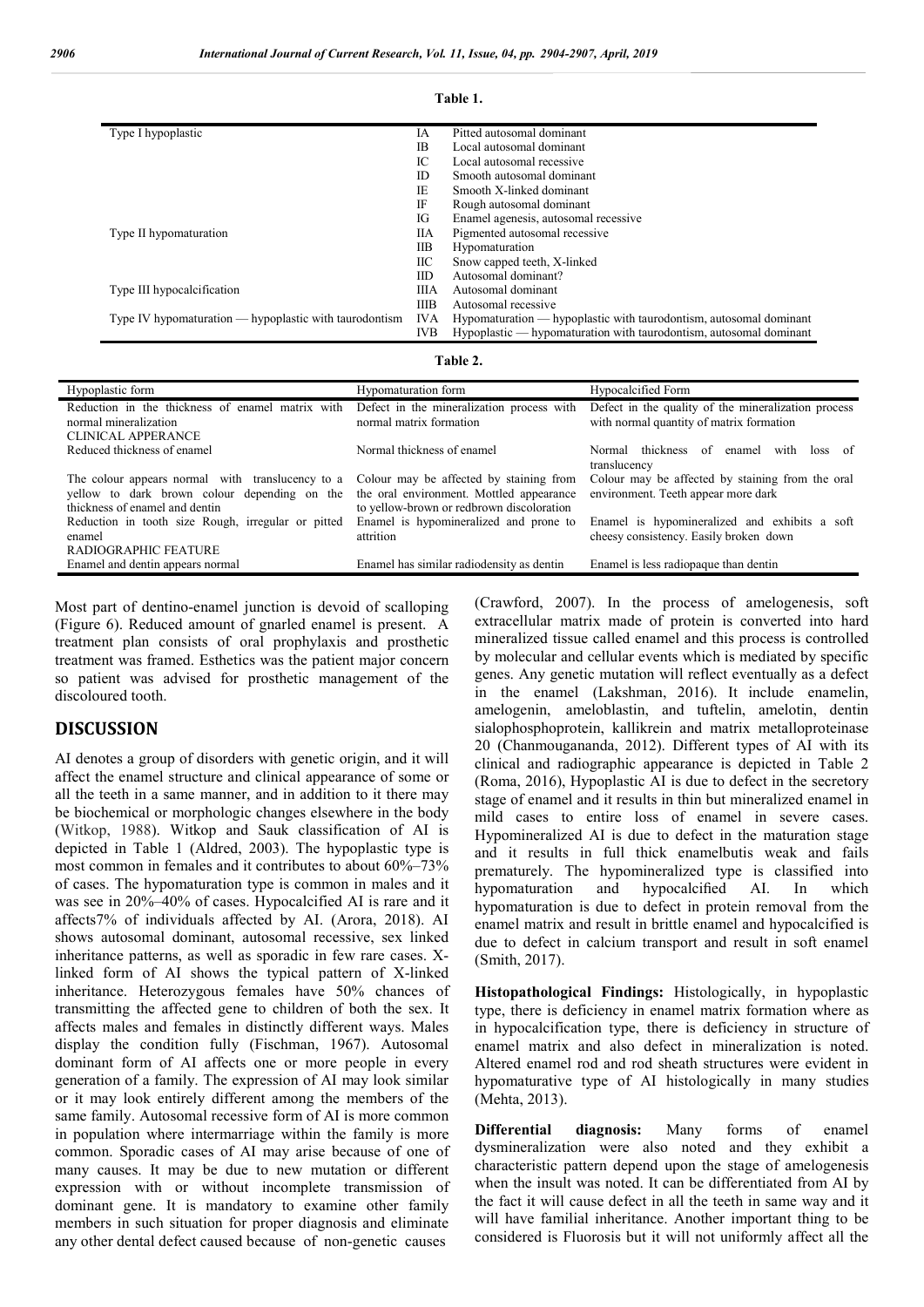| Type I hypoplastic                                       | IA          | Pitted autosomal dominant                                          |
|----------------------------------------------------------|-------------|--------------------------------------------------------------------|
|                                                          | IB.         | Local autosomal dominant                                           |
|                                                          | IС          | Local autosomal recessive                                          |
|                                                          | ID          | Smooth autosomal dominant                                          |
|                                                          | IE.         | Smooth X-linked dominant                                           |
|                                                          | IF          | Rough autosomal dominant                                           |
|                                                          | IG          | Enamel agenesis, autosomal recessive                               |
| Type II hypomaturation                                   | ПA          | Pigmented autosomal recessive                                      |
|                                                          | IІВ         | Hypomaturation                                                     |
|                                                          | IІС         | Snow capped teeth, X-linked                                        |
|                                                          | IID         | Autosomal dominant?                                                |
| Type III hypocalcification                               |             | Autosomal dominant                                                 |
|                                                          | <b>IIIB</b> | Autosomal recessive                                                |
| Type IV hypomaturation $-$ hypoplastic with taurodontism |             | Hypomaturation — hypoplastic with taurodontism, autosomal dominant |
|                                                          | <b>IVB</b>  | Hypoplastic — hypomaturation with taurodontism, autosomal dominant |

#### **Table 1.**

|  |  | `able |  |
|--|--|-------|--|
|--|--|-------|--|

| Hypoplastic form                                                                                                                                                           | Hypomaturation form                                                                   | Hypocalcified Form                                                                              |
|----------------------------------------------------------------------------------------------------------------------------------------------------------------------------|---------------------------------------------------------------------------------------|-------------------------------------------------------------------------------------------------|
| Reduction in the thickness of enamel matrix with<br>normal mineralization                                                                                                  | Defect in the mineralization process with<br>normal matrix formation                  | Defect in the quality of the mineralization process<br>with normal quantity of matrix formation |
| <b>CLINICAL APPERANCE</b>                                                                                                                                                  |                                                                                       |                                                                                                 |
| Reduced thickness of enamel                                                                                                                                                | Normal thickness of enamel                                                            | Normal thickness<br>of<br>with<br>enamel<br>loss.<br>- of<br>translucency                       |
| The colour appears normal with translucency to a Colour may be affected by staining from<br>yellow to dark brown colour depending on the<br>thickness of enamel and dentin | the oral environment. Mottled appearance<br>to yellow-brown or redbrown discoloration | Colour may be affected by staining from the oral<br>environment. Teeth appear more dark         |
| Reduction in tooth size Rough, irregular or pitted<br>enamel<br><b>RADIOGRAPHIC FEATURE</b>                                                                                | Enamel is hypomineralized and prone to<br>attrition                                   | Enamel is hypomineralized and exhibits a soft<br>cheesy consistency. Easily broken down         |
| Enamel and dentin appears normal                                                                                                                                           | Enamel has similar radiodensity as dentin                                             | Enamel is less radiopaque than dentin                                                           |
|                                                                                                                                                                            |                                                                                       |                                                                                                 |

Most part of dentino-enamel junction is devoid of scalloping (Figure 6). Reduced amount of gnarled enamel is present. A treatment plan consists of oral prophylaxis and prosthetic treatment was framed. Esthetics was the patient major concern so patient was advised for prosthetic management of the discoloured tooth.

### **DISCUSSION**

AI denotes a group of disorders with genetic origin, and it will affect the enamel structure and clinical appearance of some or all the teeth in a same manner, and in addition to it there may be biochemical or morphologic changes elsewhere in the body (Witkop, 1988). Witkop and Sauk classification of AI is depicted in Table 1 (Aldred, 2003). The hypoplastic type is most common in females and it contributes to about 60%–73% of cases. The hypomaturation type is common in males and it was see in 20%–40% of cases. Hypocalcified AI is rare and it affects7% of individuals affected by AI. (Arora, 2018). AI shows autosomal dominant, autosomal recessive, sex linked inheritance patterns, as well as sporadic in few rare cases. Xlinked form of AI shows the typical pattern of X-linked inheritance. Heterozygous females have 50% chances of transmitting the affected gene to children of both the sex. It affects males and females in distinctly different ways. Males display the condition fully (Fischman, 1967). Autosomal dominant form of AI affects one or more people in every generation of a family. The expression of AI may look similar or it may look entirely different among the members of the same family. Autosomal recessive form of AI is more common in population where intermarriage within the family is more common. Sporadic cases of AI may arise because of one of many causes. It may be due to new mutation or different expression with or without incomplete transmission of dominant gene. It is mandatory to examine other family members in such situation for proper diagnosis and eliminate any other dental defect caused because of non-genetic causes

(Crawford, 2007). In the process of amelogenesis, soft extracellular matrix made of protein is converted into hard mineralized tissue called enamel and this process is controlled by molecular and cellular events which is mediated by specific genes. Any genetic mutation will reflect eventually as a defect in the enamel (Lakshman, 2016). It include enamelin, amelogenin, ameloblastin, and tuftelin, amelotin, dentin sialophosphoprotein, kallikrein and matrix metalloproteinase 20 (Chanmougananda, 2012). Different types of AI with its clinical and radiographic appearance is depicted in Table 2 (Roma, 2016), Hypoplastic AI is due to defect in the secretory stage of enamel and it results in thin but mineralized enamel in mild cases to entire loss of enamel in severe cases. Hypomineralized AI is due to defect in the maturation stage and it results in full thick enamelbutis weak and fails prematurely. The hypomineralized type is classified into hypomaturation and hypocalcified AI. In which hypomaturation is due to defect in protein removal from the enamel matrix and result in brittle enamel and hypocalcified is due to defect in calcium transport and result in soft enamel (Smith, 2017).

**Histopathological Findings:** Histologically, in hypoplastic type, there is deficiency in enamel matrix formation where as in hypocalcification type, there is deficiency in structure of enamel matrix and also defect in mineralization is noted. Altered enamel rod and rod sheath structures were evident in hypomaturative type of AI histologically in many studies (Mehta, 2013).

**Differential diagnosis:** Many forms of enamel dysmineralization were also noted and they exhibit a characteristic pattern depend upon the stage of amelogenesis when the insult was noted. It can be differentiated from AI by the fact it will cause defect in all the teeth in same way and it will have familial inheritance. Another important thing to be considered is Fluorosis but it will not uniformly affect all the